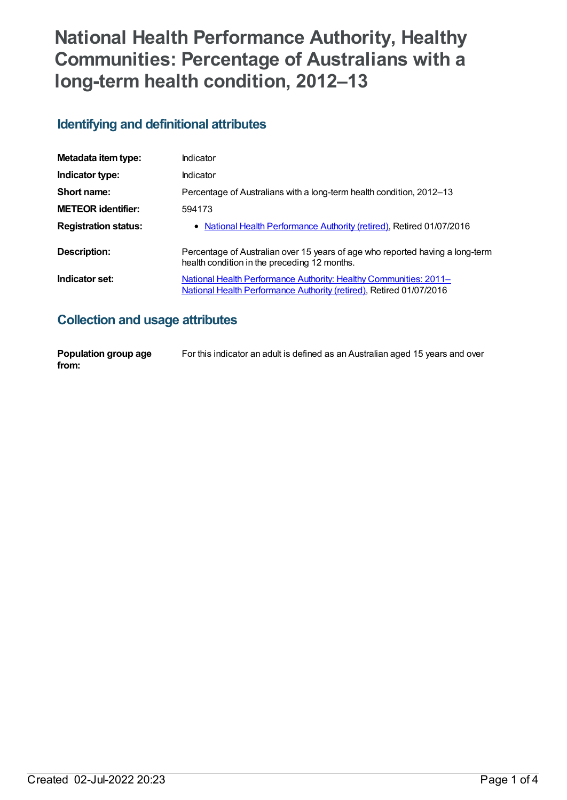# **National Health Performance Authority, Healthy Communities: Percentage of Australians with a long-term health condition, 2012–13**

### **Identifying and definitional attributes**

| Metadata item type:         | Indicator                                                                                                                                |
|-----------------------------|------------------------------------------------------------------------------------------------------------------------------------------|
| Indicator type:             | Indicator                                                                                                                                |
| Short name:                 | Percentage of Australians with a long-term health condition, 2012–13                                                                     |
| <b>METEOR identifier:</b>   | 594173                                                                                                                                   |
| <b>Registration status:</b> | • National Health Performance Authority (retired), Retired 01/07/2016                                                                    |
| Description:                | Percentage of Australian over 15 years of age who reported having a long-term<br>health condition in the preceding 12 months.            |
| Indicator set:              | National Health Performance Authority: Healthy Communities: 2011-<br>National Health Performance Authority (retired), Retired 01/07/2016 |

# **Collection and usage attributes**

| Population group age | For this indicator an adult is defined as an Australian aged 15 years and over |
|----------------------|--------------------------------------------------------------------------------|
| from:                |                                                                                |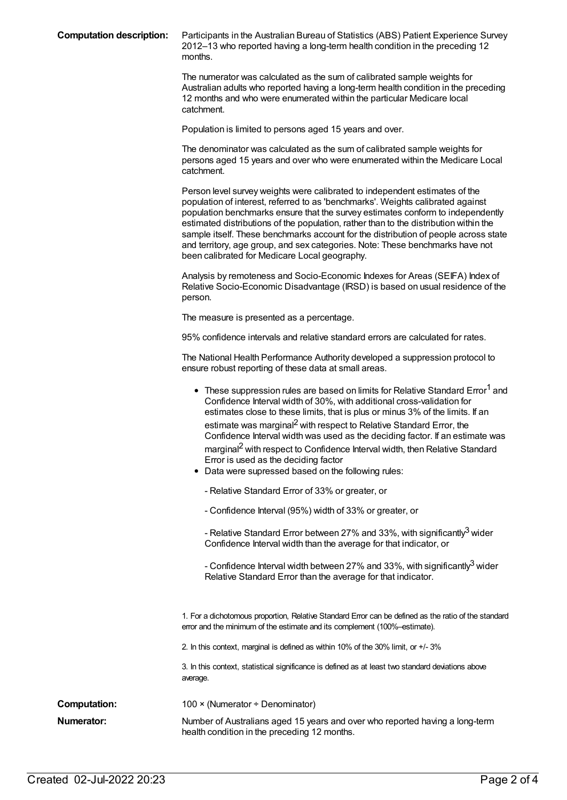**Computation description:** Participants in the Australian Bureau of Statistics (ABS) Patient Experience Survey 2012–13 who reported having a long-term health condition in the preceding 12 months.

> The numerator was calculated as the sum of calibrated sample weights for Australian adults who reported having a long-term health condition in the preceding 12 months and who were enumerated within the particular Medicare local catchment.

Population is limited to persons aged 15 years and over.

The denominator was calculated as the sum of calibrated sample weights for persons aged 15 years and over who were enumerated within the Medicare Local catchment.

Person level survey weights were calibrated to independent estimates of the population of interest, referred to as 'benchmarks'. Weights calibrated against population benchmarks ensure that the survey estimates conform to independently estimated distributions of the population, rather than to the distribution within the sample itself. These benchmarks account for the distribution of people across state and territory, age group, and sex categories. Note: These benchmarks have not been calibrated for Medicare Local geography.

Analysis by remoteness and Socio-Economic Indexes for Areas (SEIFA) Index of Relative Socio-Economic Disadvantage (IRSD) is based on usual residence of the person.

The measure is presented as a percentage.

95% confidence intervals and relative standard errors are calculated for rates.

The National Health Performance Authority developed a suppression protocol to ensure robust reporting of these data at small areas.

|                     | • These suppression rules are based on limits for Relative Standard Error <sup>1</sup> and<br>Confidence Interval width of 30%, with additional cross-validation for<br>estimates close to these limits, that is plus or minus 3% of the limits. If an<br>estimate was marginal <sup>2</sup> with respect to Relative Standard Error, the<br>Confidence Interval width was used as the deciding factor. If an estimate was<br>marginal <sup>2</sup> with respect to Confidence Interval width, then Relative Standard<br>Error is used as the deciding factor<br>Data were supressed based on the following rules:<br>- Relative Standard Error of 33% or greater, or<br>- Confidence Interval (95%) width of 33% or greater, or |
|---------------------|----------------------------------------------------------------------------------------------------------------------------------------------------------------------------------------------------------------------------------------------------------------------------------------------------------------------------------------------------------------------------------------------------------------------------------------------------------------------------------------------------------------------------------------------------------------------------------------------------------------------------------------------------------------------------------------------------------------------------------|
|                     | - Relative Standard Error between 27% and 33%, with significantly <sup>3</sup> wider<br>Confidence Interval width than the average for that indicator, or                                                                                                                                                                                                                                                                                                                                                                                                                                                                                                                                                                        |
|                     | - Confidence Interval width between 27% and 33%, with significantly <sup>3</sup> wider<br>Relative Standard Error than the average for that indicator.                                                                                                                                                                                                                                                                                                                                                                                                                                                                                                                                                                           |
|                     | 1. For a dichotomous proportion, Relative Standard Error can be defined as the ratio of the standard<br>error and the minimum of the estimate and its complement (100%-estimate).                                                                                                                                                                                                                                                                                                                                                                                                                                                                                                                                                |
|                     | 2. In this context, marginal is defined as within 10% of the 30% limit, or +/-3%                                                                                                                                                                                                                                                                                                                                                                                                                                                                                                                                                                                                                                                 |
|                     | 3. In this context, statistical significance is defined as at least two standard deviations above<br>average.                                                                                                                                                                                                                                                                                                                                                                                                                                                                                                                                                                                                                    |
| <b>Computation:</b> | 100 × (Numerator ÷ Denominator)                                                                                                                                                                                                                                                                                                                                                                                                                                                                                                                                                                                                                                                                                                  |
| Numerator:          | Number of Australians aged 15 years and over who reported having a long-term<br>health condition in the preceding 12 months.                                                                                                                                                                                                                                                                                                                                                                                                                                                                                                                                                                                                     |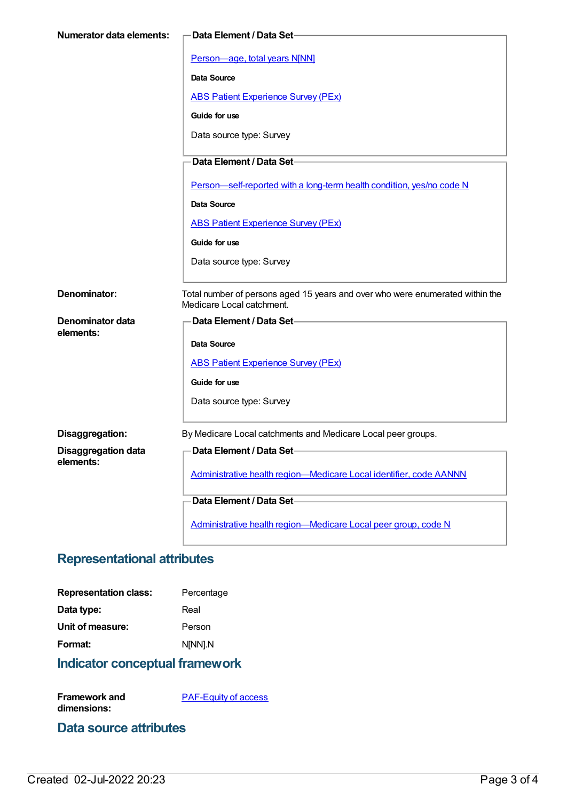| <b>Numerator data elements:</b> | -Data Element / Data Set-                                                                                  |
|---------------------------------|------------------------------------------------------------------------------------------------------------|
|                                 |                                                                                                            |
|                                 | Person-age, total years N[NN]                                                                              |
|                                 | Data Source                                                                                                |
|                                 | <b>ABS Patient Experience Survey (PEx)</b>                                                                 |
|                                 | Guide for use                                                                                              |
|                                 | Data source type: Survey                                                                                   |
|                                 | Data Element / Data Set-                                                                                   |
|                                 | Person-self-reported with a long-term health condition, yes/no code N                                      |
|                                 | Data Source                                                                                                |
|                                 | <b>ABS Patient Experience Survey (PEx)</b>                                                                 |
|                                 | Guide for use                                                                                              |
|                                 | Data source type: Survey                                                                                   |
|                                 |                                                                                                            |
| Denominator:                    | Total number of persons aged 15 years and over who were enumerated within the<br>Medicare Local catchment. |
| <b>Denominator data</b>         | Data Element / Data Set-                                                                                   |
| elements:                       | <b>Data Source</b>                                                                                         |
|                                 | <b>ABS Patient Experience Survey (PEx)</b>                                                                 |
|                                 |                                                                                                            |
|                                 | Guide for use                                                                                              |
|                                 | Data source type: Survey                                                                                   |
| Disaggregation:                 | By Medicare Local catchments and Medicare Local peer groups.                                               |
| <b>Disaggregation data</b>      | Data Element / Data Set-                                                                                   |
| elements:                       | Administrative health region-Medicare Local identifier, code AANNN                                         |
|                                 | Data Element / Data Set-                                                                                   |
|                                 |                                                                                                            |
|                                 | Administrative health region-Medicare Local peer group, code N                                             |

# **Representational attributes**

| <b>Representation class:</b> | Percentage |
|------------------------------|------------|
| Data type:                   | Real       |
| Unit of measure:             | Person     |
| Format:                      | N[NN].N    |
|                              |            |

**Indicator conceptual framework**

**Framework and dimensions:** [PAF-Equity](https://meteor.aihw.gov.au/content/554927) of access

#### **Data source attributes**